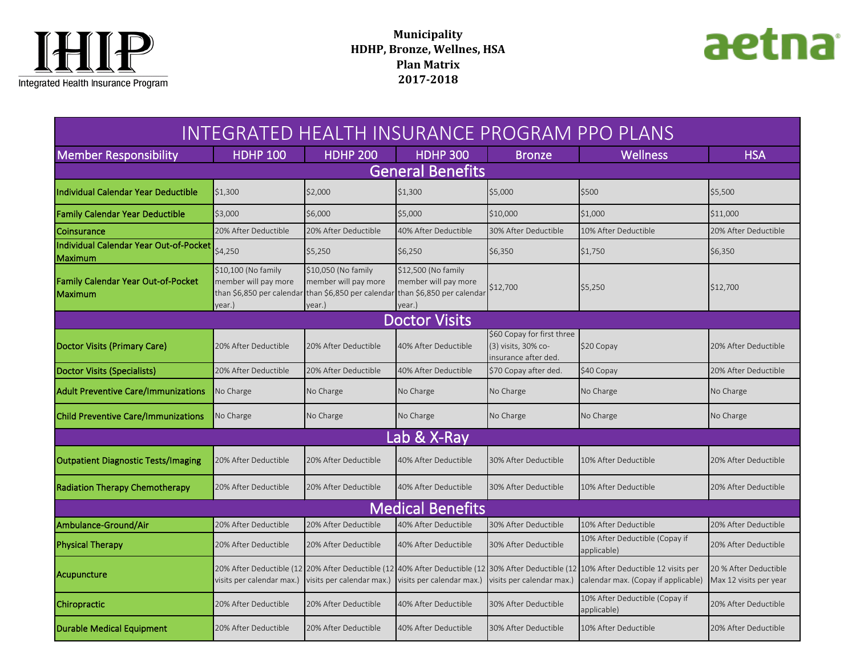



| INTEGRATED HEALTH INSURANCE PROGRAM PPO PLANS          |                                                                                    |                                                                                    |                                                                                    |                                                                           |                                                                                                                             |                                                 |  |  |  |  |
|--------------------------------------------------------|------------------------------------------------------------------------------------|------------------------------------------------------------------------------------|------------------------------------------------------------------------------------|---------------------------------------------------------------------------|-----------------------------------------------------------------------------------------------------------------------------|-------------------------------------------------|--|--|--|--|
| <b>Member Responsibility</b>                           | <b>HDHP 100</b>                                                                    | <b>HDHP 200</b>                                                                    | <b>HDHP 300</b>                                                                    | <b>Bronze</b>                                                             | <b>Wellness</b>                                                                                                             | <b>HSA</b>                                      |  |  |  |  |
| <b>General Benefits</b>                                |                                                                                    |                                                                                    |                                                                                    |                                                                           |                                                                                                                             |                                                 |  |  |  |  |
| Individual Calendar Year Deductible                    | \$1,300                                                                            | \$2,000                                                                            | \$1,300                                                                            | \$5,000                                                                   | \$500                                                                                                                       | \$5,500                                         |  |  |  |  |
| Family Calendar Year Deductible                        | \$3,000                                                                            | \$6,000                                                                            | \$5,000                                                                            | \$10,000                                                                  | \$1,000                                                                                                                     | \$11,000                                        |  |  |  |  |
| <b>Coinsurance</b>                                     | 20% After Deductible                                                               | 20% After Deductible                                                               | 40% After Deductible                                                               | 30% After Deductible                                                      | 10% After Deductible                                                                                                        | 20% After Deductible                            |  |  |  |  |
| Individual Calendar Year Out-of-Pocket<br>Maximum      | \$4,250                                                                            | \$5,250                                                                            | \$6,250                                                                            | \$6,350                                                                   | \$1,750                                                                                                                     | \$6,350                                         |  |  |  |  |
| <b>Family Calendar Year Out-of-Pocket</b><br>l Maximum | \$10,100 (No family<br>member will pay more<br>than \$6,850 per calendar<br>vear.) | \$10,050 (No family<br>member will pay more<br>than \$6,850 per calendar<br>vear.) | \$12,500 (No family<br>member will pay more<br>than \$6,850 per calendar<br>vear.) | \$12,700                                                                  | \$5,250                                                                                                                     | \$12,700                                        |  |  |  |  |
| <b>Doctor Visits</b>                                   |                                                                                    |                                                                                    |                                                                                    |                                                                           |                                                                                                                             |                                                 |  |  |  |  |
| Doctor Visits (Primary Care)                           | 20% After Deductible                                                               | 20% After Deductible                                                               | 40% After Deductible                                                               | \$60 Copay for first three<br>(3) visits, 30% co-<br>insurance after ded. | \$20 Copay                                                                                                                  | 20% After Deductible                            |  |  |  |  |
| Doctor Visits (Specialists)                            | 20% After Deductible                                                               | 20% After Deductible                                                               | 40% After Deductible                                                               | \$70 Copay after ded.                                                     | \$40 Copay                                                                                                                  | 20% After Deductible                            |  |  |  |  |
| <b>Adult Preventive Care/Immunizations</b>             | No Charge                                                                          | No Charge                                                                          | No Charge                                                                          | No Charge                                                                 | No Charge                                                                                                                   | No Charge                                       |  |  |  |  |
| Child Preventive Care/Immunizations                    | No Charge                                                                          | No Charge                                                                          | No Charge                                                                          | No Charge                                                                 | No Charge                                                                                                                   | No Charge                                       |  |  |  |  |
| Lab & X-Ray                                            |                                                                                    |                                                                                    |                                                                                    |                                                                           |                                                                                                                             |                                                 |  |  |  |  |
| <b>Outpatient Diagnostic Tests/Imaging</b>             | 20% After Deductible                                                               | 20% After Deductible                                                               | 40% After Deductible                                                               | 30% After Deductible                                                      | 10% After Deductible                                                                                                        | 20% After Deductible                            |  |  |  |  |
| <b>Radiation Therapy Chemotherapy</b>                  | 20% After Deductible                                                               | 20% After Deductible                                                               | 40% After Deductible                                                               | 30% After Deductible                                                      | 10% After Deductible                                                                                                        | 20% After Deductible                            |  |  |  |  |
| <b>Medical Benefits</b>                                |                                                                                    |                                                                                    |                                                                                    |                                                                           |                                                                                                                             |                                                 |  |  |  |  |
| Ambulance-Ground/Air                                   | 20% After Deductible                                                               | 20% After Deductible                                                               | 40% After Deductible                                                               | 30% After Deductible                                                      | 10% After Deductible                                                                                                        | 20% After Deductible                            |  |  |  |  |
| <b>Physical Therapy</b>                                | 20% After Deductible                                                               | 20% After Deductible                                                               | 40% After Deductible                                                               | 30% After Deductible                                                      | 10% After Deductible (Copay if<br>applicable)                                                                               | 20% After Deductible                            |  |  |  |  |
| Acupuncture                                            | visits per calendar max.)                                                          | 20% After Deductible (12 20% After Deductible (12<br>visits per calendar max.)     | visits per calendar max.)                                                          | visits per calendar max.)                                                 | 40% After Deductible (12 30% After Deductible (12 10% After Deductible 12 visits per<br>calendar max. (Copay if applicable) | 20 % After Deductible<br>Max 12 visits per year |  |  |  |  |
| Chiropractic                                           | 20% After Deductible                                                               | 20% After Deductible                                                               | 40% After Deductible                                                               | 30% After Deductible                                                      | 10% After Deductible (Copay if<br>applicable)                                                                               | 20% After Deductible                            |  |  |  |  |
| Durable Medical Equipment                              | 20% After Deductible                                                               | 20% After Deductible                                                               | 40% After Deductible                                                               | 30% After Deductible                                                      | 10% After Deductible                                                                                                        | 20% After Deductible                            |  |  |  |  |